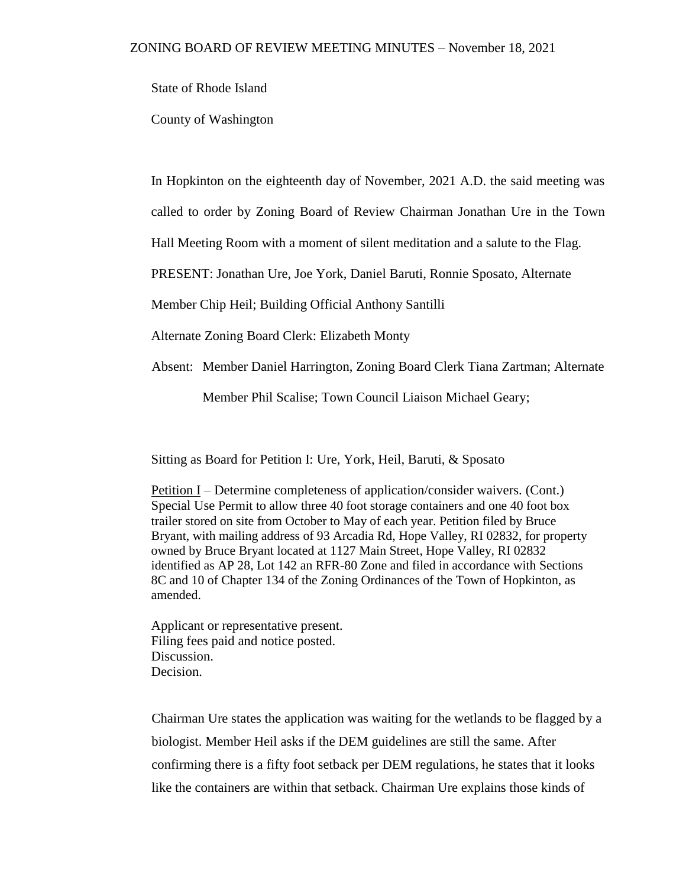State of Rhode Island

County of Washington

In Hopkinton on the eighteenth day of November, 2021 A.D. the said meeting was

called to order by Zoning Board of Review Chairman Jonathan Ure in the Town

Hall Meeting Room with a moment of silent meditation and a salute to the Flag.

PRESENT: Jonathan Ure, Joe York, Daniel Baruti, Ronnie Sposato, Alternate

Member Chip Heil; Building Official Anthony Santilli

Alternate Zoning Board Clerk: Elizabeth Monty

Absent: Member Daniel Harrington, Zoning Board Clerk Tiana Zartman; Alternate

Member Phil Scalise; Town Council Liaison Michael Geary;

Sitting as Board for Petition I: Ure, York, Heil, Baruti, & Sposato

Petition I – Determine completeness of application/consider waivers. (Cont.) Special Use Permit to allow three 40 foot storage containers and one 40 foot box trailer stored on site from October to May of each year. Petition filed by Bruce Bryant, with mailing address of 93 Arcadia Rd, Hope Valley, RI 02832, for property owned by Bruce Bryant located at 1127 Main Street, Hope Valley, RI 02832 identified as AP 28, Lot 142 an RFR-80 Zone and filed in accordance with Sections 8C and 10 of Chapter 134 of the Zoning Ordinances of the Town of Hopkinton, as amended.

Applicant or representative present. Filing fees paid and notice posted. Discussion. Decision.

Chairman Ure states the application was waiting for the wetlands to be flagged by a biologist. Member Heil asks if the DEM guidelines are still the same. After confirming there is a fifty foot setback per DEM regulations, he states that it looks like the containers are within that setback. Chairman Ure explains those kinds of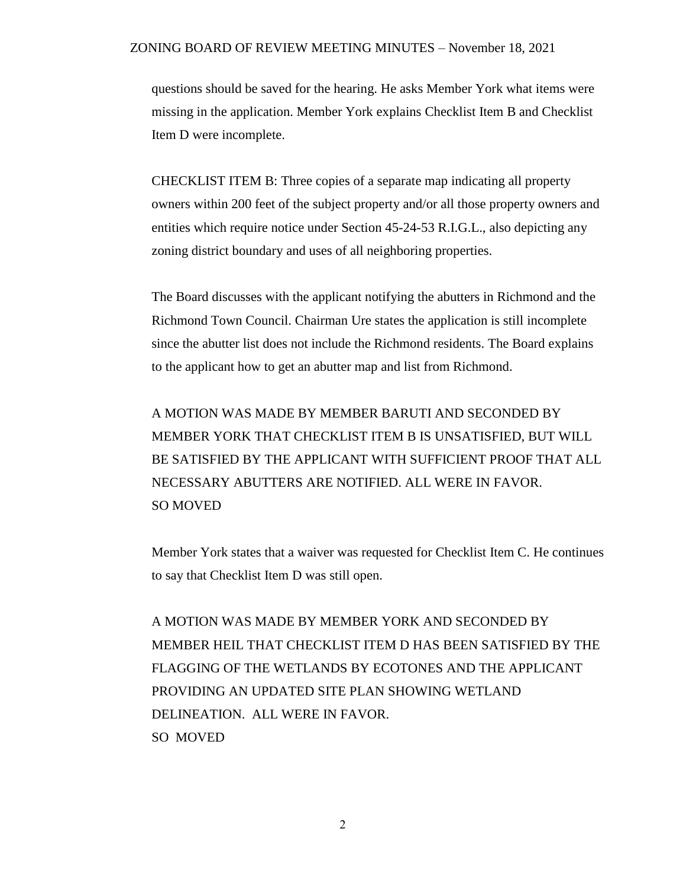questions should be saved for the hearing. He asks Member York what items were missing in the application. Member York explains Checklist Item B and Checklist Item D were incomplete.

CHECKLIST ITEM B: Three copies of a separate map indicating all property owners within 200 feet of the subject property and/or all those property owners and entities which require notice under Section 45-24-53 R.I.G.L., also depicting any zoning district boundary and uses of all neighboring properties.

The Board discusses with the applicant notifying the abutters in Richmond and the Richmond Town Council. Chairman Ure states the application is still incomplete since the abutter list does not include the Richmond residents. The Board explains to the applicant how to get an abutter map and list from Richmond.

A MOTION WAS MADE BY MEMBER BARUTI AND SECONDED BY MEMBER YORK THAT CHECKLIST ITEM B IS UNSATISFIED, BUT WILL BE SATISFIED BY THE APPLICANT WITH SUFFICIENT PROOF THAT ALL NECESSARY ABUTTERS ARE NOTIFIED. ALL WERE IN FAVOR. SO MOVED

Member York states that a waiver was requested for Checklist Item C. He continues to say that Checklist Item D was still open.

A MOTION WAS MADE BY MEMBER YORK AND SECONDED BY MEMBER HEIL THAT CHECKLIST ITEM D HAS BEEN SATISFIED BY THE FLAGGING OF THE WETLANDS BY ECOTONES AND THE APPLICANT PROVIDING AN UPDATED SITE PLAN SHOWING WETLAND DELINEATION. ALL WERE IN FAVOR. SO MOVED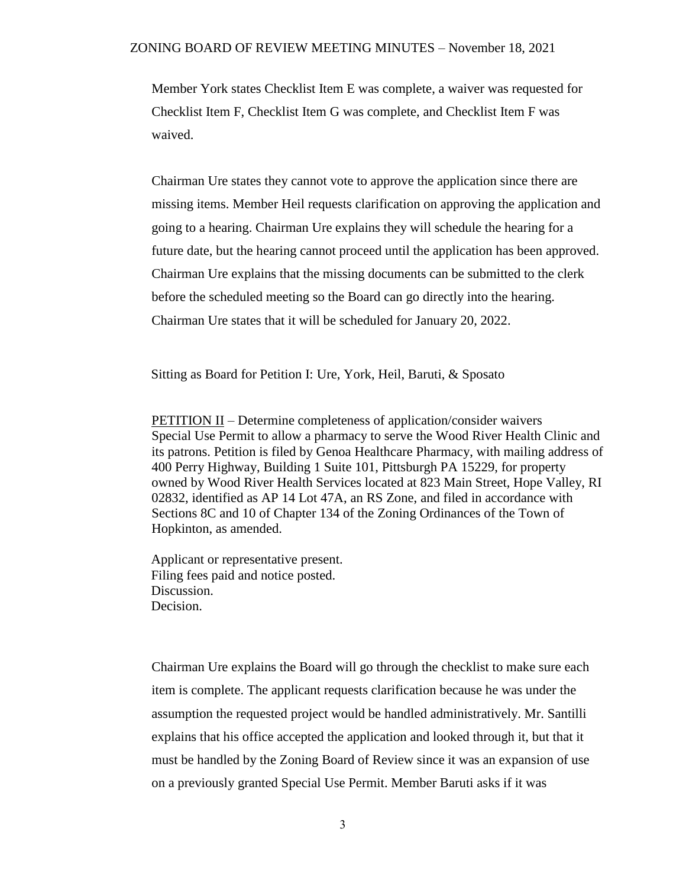Member York states Checklist Item E was complete, a waiver was requested for Checklist Item F, Checklist Item G was complete, and Checklist Item F was waived.

Chairman Ure states they cannot vote to approve the application since there are missing items. Member Heil requests clarification on approving the application and going to a hearing. Chairman Ure explains they will schedule the hearing for a future date, but the hearing cannot proceed until the application has been approved. Chairman Ure explains that the missing documents can be submitted to the clerk before the scheduled meeting so the Board can go directly into the hearing. Chairman Ure states that it will be scheduled for January 20, 2022.

Sitting as Board for Petition I: Ure, York, Heil, Baruti, & Sposato

PETITION II – Determine completeness of application/consider waivers Special Use Permit to allow a pharmacy to serve the Wood River Health Clinic and its patrons. Petition is filed by Genoa Healthcare Pharmacy, with mailing address of 400 Perry Highway, Building 1 Suite 101, Pittsburgh PA 15229, for property owned by Wood River Health Services located at 823 Main Street, Hope Valley, RI 02832, identified as AP 14 Lot 47A, an RS Zone, and filed in accordance with Sections 8C and 10 of Chapter 134 of the Zoning Ordinances of the Town of Hopkinton, as amended.

Applicant or representative present. Filing fees paid and notice posted. Discussion. Decision.

Chairman Ure explains the Board will go through the checklist to make sure each item is complete. The applicant requests clarification because he was under the assumption the requested project would be handled administratively. Mr. Santilli explains that his office accepted the application and looked through it, but that it must be handled by the Zoning Board of Review since it was an expansion of use on a previously granted Special Use Permit. Member Baruti asks if it was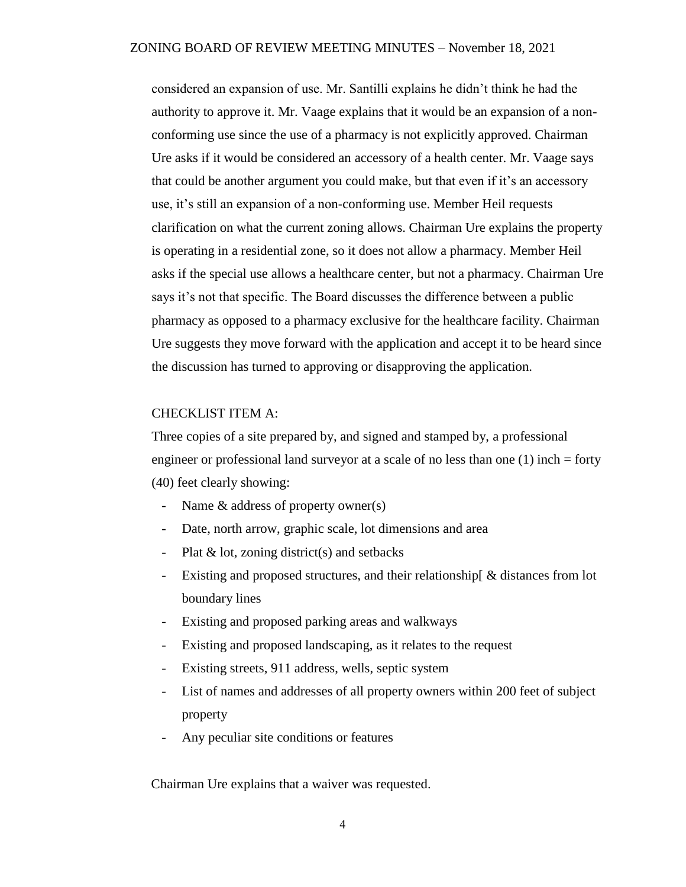considered an expansion of use. Mr. Santilli explains he didn't think he had the authority to approve it. Mr. Vaage explains that it would be an expansion of a nonconforming use since the use of a pharmacy is not explicitly approved. Chairman Ure asks if it would be considered an accessory of a health center. Mr. Vaage says that could be another argument you could make, but that even if it's an accessory use, it's still an expansion of a non-conforming use. Member Heil requests clarification on what the current zoning allows. Chairman Ure explains the property is operating in a residential zone, so it does not allow a pharmacy. Member Heil asks if the special use allows a healthcare center, but not a pharmacy. Chairman Ure says it's not that specific. The Board discusses the difference between a public pharmacy as opposed to a pharmacy exclusive for the healthcare facility. Chairman Ure suggests they move forward with the application and accept it to be heard since the discussion has turned to approving or disapproving the application.

## CHECKLIST ITEM A:

Three copies of a site prepared by, and signed and stamped by, a professional engineer or professional land surveyor at a scale of no less than one (1) inch = forty (40) feet clearly showing:

- Name  $\&$  address of property owner(s)
- Date, north arrow, graphic scale, lot dimensions and area
- Plat & lot, zoning district(s) and setbacks
- Existing and proposed structures, and their relationship[ & distances from lot boundary lines
- Existing and proposed parking areas and walkways
- Existing and proposed landscaping, as it relates to the request
- Existing streets, 911 address, wells, septic system
- List of names and addresses of all property owners within 200 feet of subject property
- Any peculiar site conditions or features

Chairman Ure explains that a waiver was requested.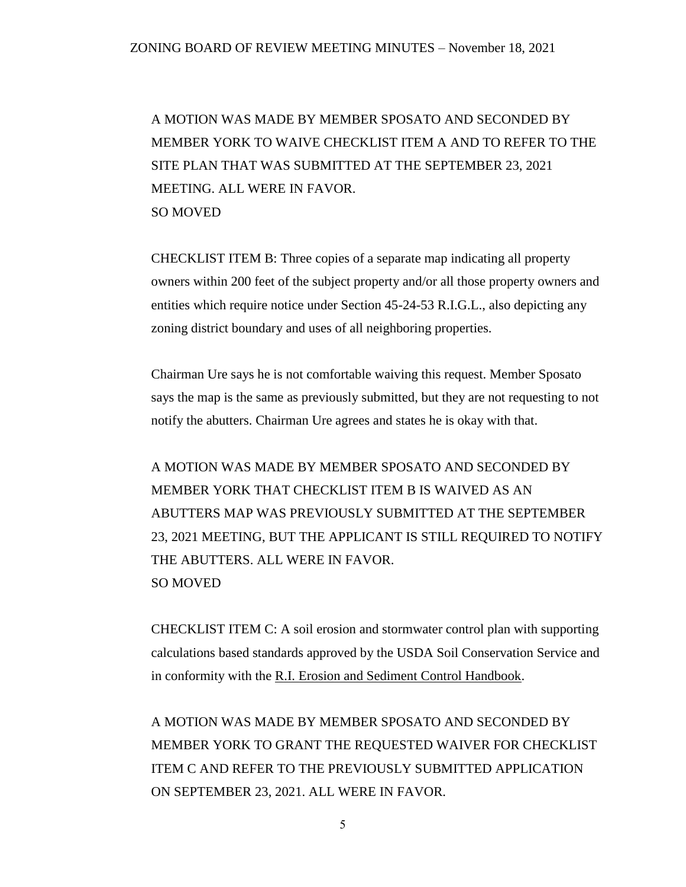A MOTION WAS MADE BY MEMBER SPOSATO AND SECONDED BY MEMBER YORK TO WAIVE CHECKLIST ITEM A AND TO REFER TO THE SITE PLAN THAT WAS SUBMITTED AT THE SEPTEMBER 23, 2021 MEETING. ALL WERE IN FAVOR. SO MOVED

CHECKLIST ITEM B: Three copies of a separate map indicating all property owners within 200 feet of the subject property and/or all those property owners and entities which require notice under Section 45-24-53 R.I.G.L., also depicting any zoning district boundary and uses of all neighboring properties.

Chairman Ure says he is not comfortable waiving this request. Member Sposato says the map is the same as previously submitted, but they are not requesting to not notify the abutters. Chairman Ure agrees and states he is okay with that.

A MOTION WAS MADE BY MEMBER SPOSATO AND SECONDED BY MEMBER YORK THAT CHECKLIST ITEM B IS WAIVED AS AN ABUTTERS MAP WAS PREVIOUSLY SUBMITTED AT THE SEPTEMBER 23, 2021 MEETING, BUT THE APPLICANT IS STILL REQUIRED TO NOTIFY THE ABUTTERS. ALL WERE IN FAVOR. SO MOVED

CHECKLIST ITEM C: A soil erosion and stormwater control plan with supporting calculations based standards approved by the USDA Soil Conservation Service and in conformity with the R.I. Erosion and Sediment Control Handbook.

A MOTION WAS MADE BY MEMBER SPOSATO AND SECONDED BY MEMBER YORK TO GRANT THE REQUESTED WAIVER FOR CHECKLIST ITEM C AND REFER TO THE PREVIOUSLY SUBMITTED APPLICATION ON SEPTEMBER 23, 2021. ALL WERE IN FAVOR.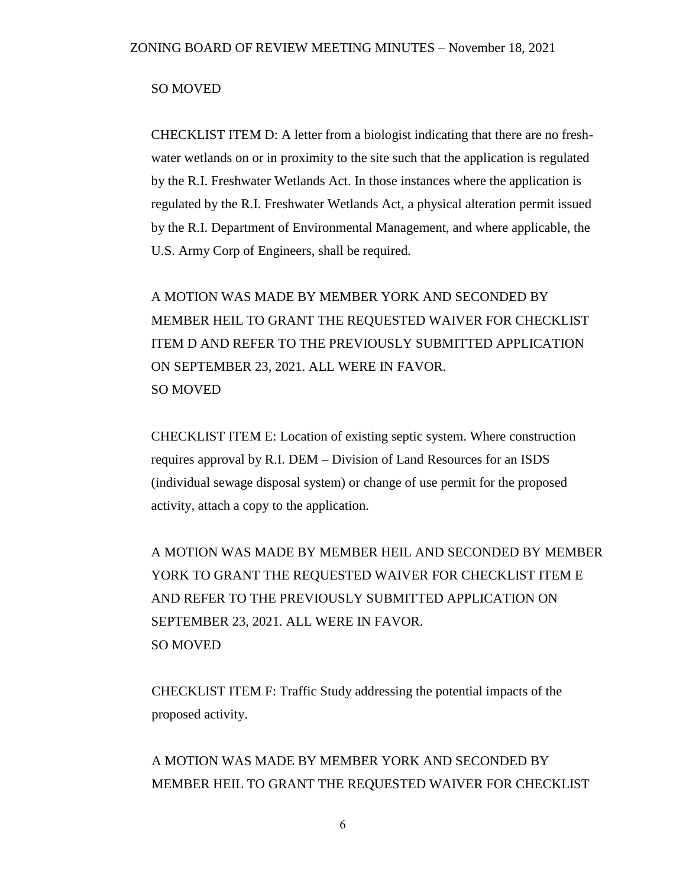### SO MOVED

CHECKLIST ITEM D: A letter from a biologist indicating that there are no freshwater wetlands on or in proximity to the site such that the application is regulated by the R.I. Freshwater Wetlands Act. In those instances where the application is regulated by the R.I. Freshwater Wetlands Act, a physical alteration permit issued by the R.I. Department of Environmental Management, and where applicable, the U.S. Army Corp of Engineers, shall be required.

A MOTION WAS MADE BY MEMBER YORK AND SECONDED BY MEMBER HEIL TO GRANT THE REQUESTED WAIVER FOR CHECKLIST ITEM D AND REFER TO THE PREVIOUSLY SUBMITTED APPLICATION ON SEPTEMBER 23, 2021. ALL WERE IN FAVOR. SO MOVED

CHECKLIST ITEM E: Location of existing septic system. Where construction requires approval by R.I. DEM – Division of Land Resources for an ISDS (individual sewage disposal system) or change of use permit for the proposed activity, attach a copy to the application.

A MOTION WAS MADE BY MEMBER HEIL AND SECONDED BY MEMBER YORK TO GRANT THE REQUESTED WAIVER FOR CHECKLIST ITEM E AND REFER TO THE PREVIOUSLY SUBMITTED APPLICATION ON SEPTEMBER 23, 2021. ALL WERE IN FAVOR. SO MOVED

CHECKLIST ITEM F: Traffic Study addressing the potential impacts of the proposed activity.

A MOTION WAS MADE BY MEMBER YORK AND SECONDED BY MEMBER HEIL TO GRANT THE REQUESTED WAIVER FOR CHECKLIST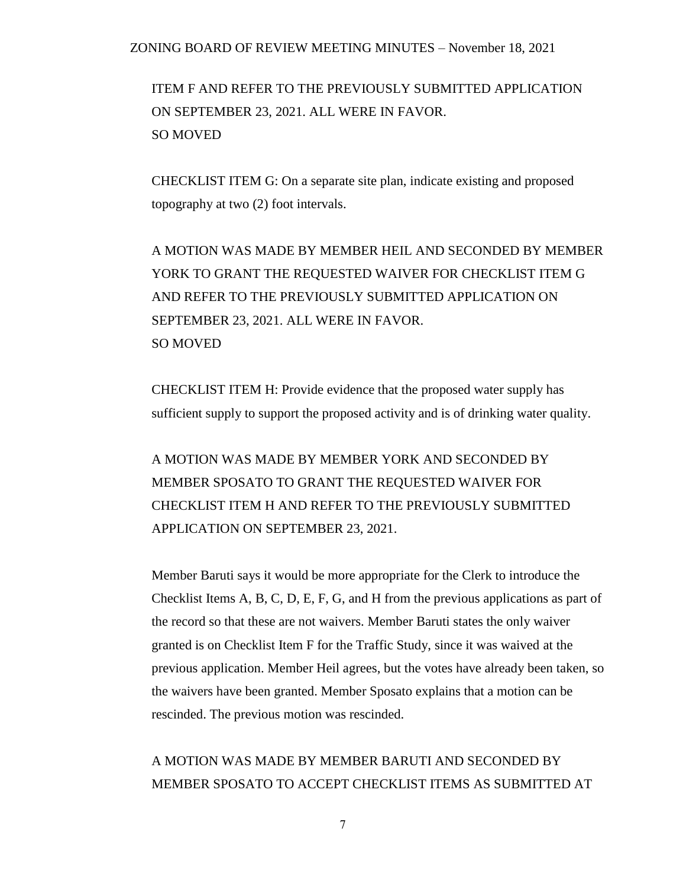ITEM F AND REFER TO THE PREVIOUSLY SUBMITTED APPLICATION ON SEPTEMBER 23, 2021. ALL WERE IN FAVOR. SO MOVED

CHECKLIST ITEM G: On a separate site plan, indicate existing and proposed topography at two (2) foot intervals.

A MOTION WAS MADE BY MEMBER HEIL AND SECONDED BY MEMBER YORK TO GRANT THE REQUESTED WAIVER FOR CHECKLIST ITEM G AND REFER TO THE PREVIOUSLY SUBMITTED APPLICATION ON SEPTEMBER 23, 2021. ALL WERE IN FAVOR. SO MOVED

CHECKLIST ITEM H: Provide evidence that the proposed water supply has sufficient supply to support the proposed activity and is of drinking water quality.

A MOTION WAS MADE BY MEMBER YORK AND SECONDED BY MEMBER SPOSATO TO GRANT THE REQUESTED WAIVER FOR CHECKLIST ITEM H AND REFER TO THE PREVIOUSLY SUBMITTED APPLICATION ON SEPTEMBER 23, 2021.

Member Baruti says it would be more appropriate for the Clerk to introduce the Checklist Items A, B, C, D, E, F, G, and H from the previous applications as part of the record so that these are not waivers. Member Baruti states the only waiver granted is on Checklist Item F for the Traffic Study, since it was waived at the previous application. Member Heil agrees, but the votes have already been taken, so the waivers have been granted. Member Sposato explains that a motion can be rescinded. The previous motion was rescinded.

# A MOTION WAS MADE BY MEMBER BARUTI AND SECONDED BY MEMBER SPOSATO TO ACCEPT CHECKLIST ITEMS AS SUBMITTED AT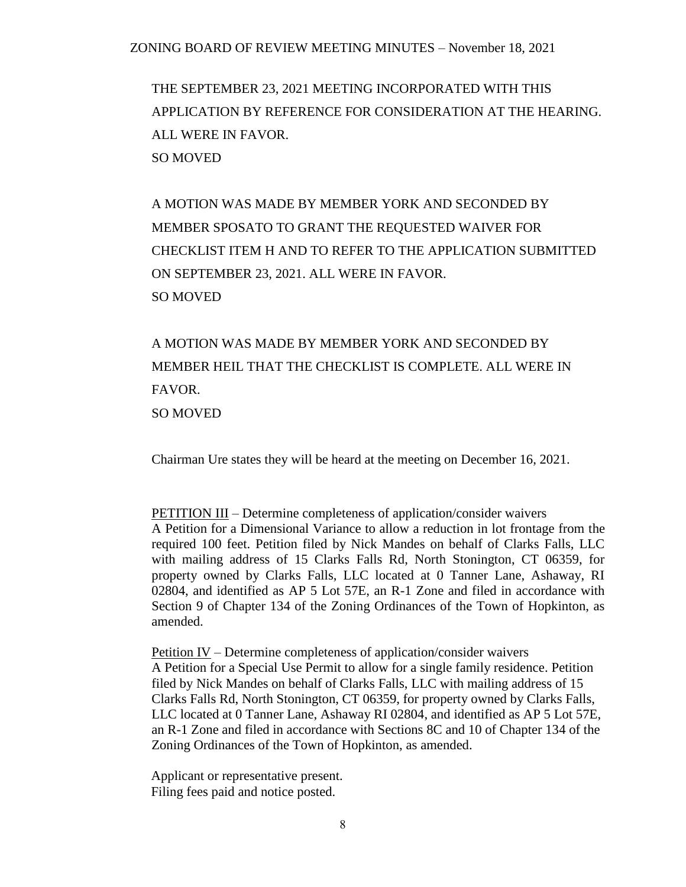THE SEPTEMBER 23, 2021 MEETING INCORPORATED WITH THIS APPLICATION BY REFERENCE FOR CONSIDERATION AT THE HEARING. ALL WERE IN FAVOR. SO MOVED

A MOTION WAS MADE BY MEMBER YORK AND SECONDED BY MEMBER SPOSATO TO GRANT THE REQUESTED WAIVER FOR CHECKLIST ITEM H AND TO REFER TO THE APPLICATION SUBMITTED ON SEPTEMBER 23, 2021. ALL WERE IN FAVOR. SO MOVED

A MOTION WAS MADE BY MEMBER YORK AND SECONDED BY MEMBER HEIL THAT THE CHECKLIST IS COMPLETE. ALL WERE IN FAVOR. SO MOVED

Chairman Ure states they will be heard at the meeting on December 16, 2021.

PETITION III – Determine completeness of application/consider waivers A Petition for a Dimensional Variance to allow a reduction in lot frontage from the required 100 feet. Petition filed by Nick Mandes on behalf of Clarks Falls, LLC with mailing address of 15 Clarks Falls Rd, North Stonington, CT 06359, for property owned by Clarks Falls, LLC located at 0 Tanner Lane, Ashaway, RI 02804, and identified as AP 5 Lot 57E, an R-1 Zone and filed in accordance with Section 9 of Chapter 134 of the Zoning Ordinances of the Town of Hopkinton, as amended.

Petition IV – Determine completeness of application/consider waivers A Petition for a Special Use Permit to allow for a single family residence. Petition filed by Nick Mandes on behalf of Clarks Falls, LLC with mailing address of 15 Clarks Falls Rd, North Stonington, CT 06359, for property owned by Clarks Falls, LLC located at 0 Tanner Lane, Ashaway RI 02804, and identified as AP 5 Lot 57E, an R-1 Zone and filed in accordance with Sections 8C and 10 of Chapter 134 of the Zoning Ordinances of the Town of Hopkinton, as amended.

Applicant or representative present. Filing fees paid and notice posted.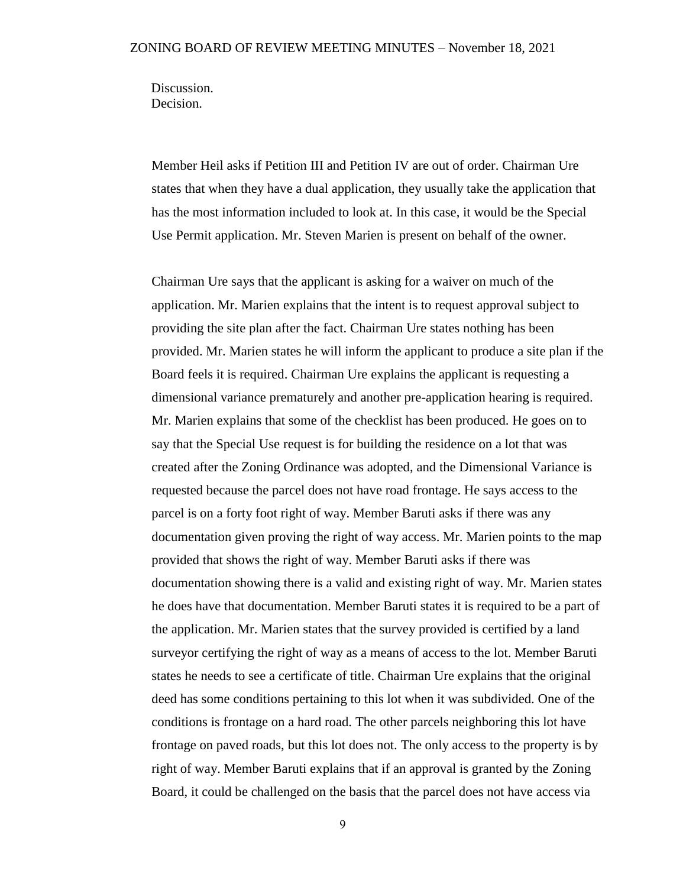Discussion. Decision.

Member Heil asks if Petition III and Petition IV are out of order. Chairman Ure states that when they have a dual application, they usually take the application that has the most information included to look at. In this case, it would be the Special Use Permit application. Mr. Steven Marien is present on behalf of the owner.

Chairman Ure says that the applicant is asking for a waiver on much of the application. Mr. Marien explains that the intent is to request approval subject to providing the site plan after the fact. Chairman Ure states nothing has been provided. Mr. Marien states he will inform the applicant to produce a site plan if the Board feels it is required. Chairman Ure explains the applicant is requesting a dimensional variance prematurely and another pre-application hearing is required. Mr. Marien explains that some of the checklist has been produced. He goes on to say that the Special Use request is for building the residence on a lot that was created after the Zoning Ordinance was adopted, and the Dimensional Variance is requested because the parcel does not have road frontage. He says access to the parcel is on a forty foot right of way. Member Baruti asks if there was any documentation given proving the right of way access. Mr. Marien points to the map provided that shows the right of way. Member Baruti asks if there was documentation showing there is a valid and existing right of way. Mr. Marien states he does have that documentation. Member Baruti states it is required to be a part of the application. Mr. Marien states that the survey provided is certified by a land surveyor certifying the right of way as a means of access to the lot. Member Baruti states he needs to see a certificate of title. Chairman Ure explains that the original deed has some conditions pertaining to this lot when it was subdivided. One of the conditions is frontage on a hard road. The other parcels neighboring this lot have frontage on paved roads, but this lot does not. The only access to the property is by right of way. Member Baruti explains that if an approval is granted by the Zoning Board, it could be challenged on the basis that the parcel does not have access via

9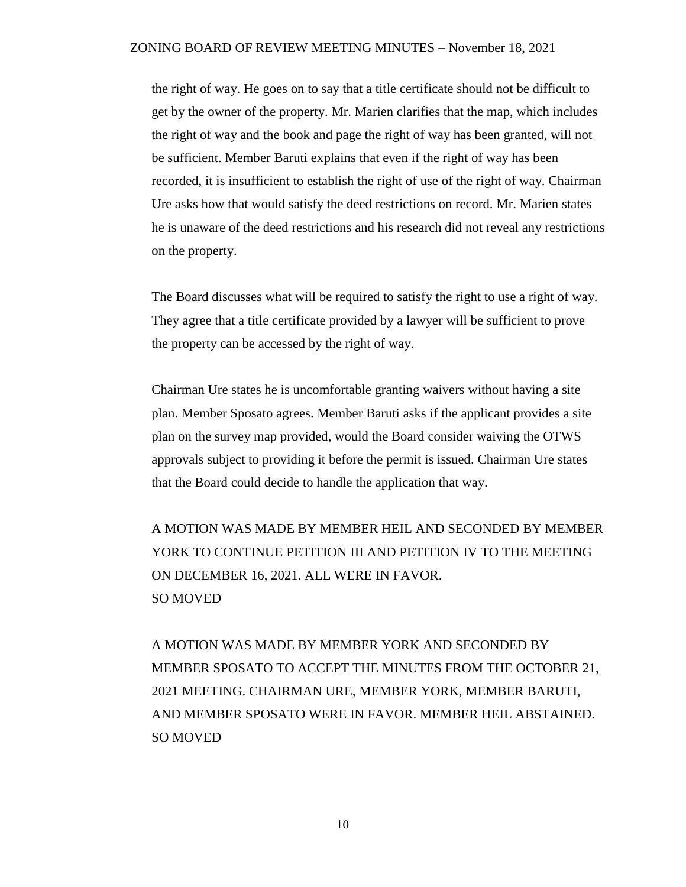the right of way. He goes on to say that a title certificate should not be difficult to get by the owner of the property. Mr. Marien clarifies that the map, which includes the right of way and the book and page the right of way has been granted, will not be sufficient. Member Baruti explains that even if the right of way has been recorded, it is insufficient to establish the right of use of the right of way. Chairman Ure asks how that would satisfy the deed restrictions on record. Mr. Marien states he is unaware of the deed restrictions and his research did not reveal any restrictions on the property.

The Board discusses what will be required to satisfy the right to use a right of way. They agree that a title certificate provided by a lawyer will be sufficient to prove the property can be accessed by the right of way.

Chairman Ure states he is uncomfortable granting waivers without having a site plan. Member Sposato agrees. Member Baruti asks if the applicant provides a site plan on the survey map provided, would the Board consider waiving the OTWS approvals subject to providing it before the permit is issued. Chairman Ure states that the Board could decide to handle the application that way.

A MOTION WAS MADE BY MEMBER HEIL AND SECONDED BY MEMBER YORK TO CONTINUE PETITION III AND PETITION IV TO THE MEETING ON DECEMBER 16, 2021. ALL WERE IN FAVOR. SO MOVED

A MOTION WAS MADE BY MEMBER YORK AND SECONDED BY MEMBER SPOSATO TO ACCEPT THE MINUTES FROM THE OCTOBER 21, 2021 MEETING. CHAIRMAN URE, MEMBER YORK, MEMBER BARUTI, AND MEMBER SPOSATO WERE IN FAVOR. MEMBER HEIL ABSTAINED. SO MOVED

10